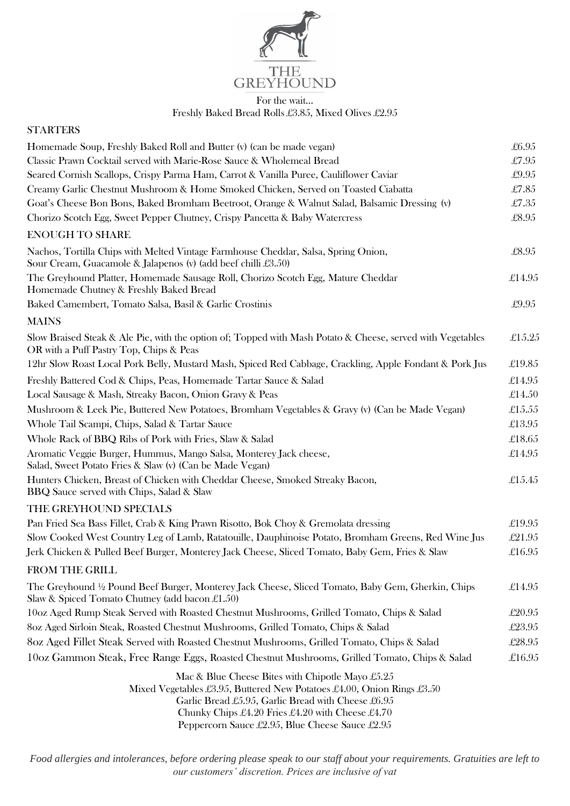

## $\overline{$  For the wait... Freshly Baked Bread Rolls £3.85, Mixed Olives £2.95

| <b>STARTERS</b>                                                                                                                                                                                                                     |        |
|-------------------------------------------------------------------------------------------------------------------------------------------------------------------------------------------------------------------------------------|--------|
| Homemade Soup, Freshly Baked Roll and Butter (v) (can be made vegan)                                                                                                                                                                | £6.95  |
| Classic Prawn Cocktail served with Marie-Rose Sauce & Wholemeal Bread                                                                                                                                                               | £7.95  |
| Seared Cornish Scallops, Crispy Parma Ham, Carrot & Vanilla Puree, Cauliflower Caviar                                                                                                                                               | £9.95  |
| Creamy Garlic Chestnut Mushroom & Home Smoked Chicken, Served on Toasted Ciabatta                                                                                                                                                   | £7.85  |
| Goat's Cheese Bon Bons, Baked Bromham Beetroot, Orange & Walnut Salad, Balsamic Dressing (v)                                                                                                                                        | £7.35  |
| Chorizo Scotch Egg, Sweet Pepper Chutney, Crispy Pancetta & Baby Watercress                                                                                                                                                         | £8.95  |
| <b>ENOUGH TO SHARE</b>                                                                                                                                                                                                              |        |
| Nachos, Tortilla Chips with Melted Vintage Farmhouse Cheddar, Salsa, Spring Onion,<br>Sour Cream, Guacamole & Jalapenos (v) (add beef chilli £3.50)                                                                                 | £8.95  |
| The Greyhound Platter, Homemade Sausage Roll, Chorizo Scotch Egg, Mature Cheddar<br>Homemade Chutney & Freshly Baked Bread                                                                                                          | £14.95 |
| Baked Camembert, Tomato Salsa, Basil & Garlic Crostinis                                                                                                                                                                             | £9.95  |
| <b>MAINS</b>                                                                                                                                                                                                                        |        |
| Slow Braised Steak & Ale Pie, with the option of; Topped with Mash Potato & Cheese, served with Vegetables<br>OR with a Puff Pastry Top, Chips & Peas                                                                               | £15.25 |
| 12hr Slow Roast Local Pork Belly, Mustard Mash, Spiced Red Cabbage, Crackling, Apple Fondant & Pork Jus                                                                                                                             | £19.85 |
| Freshly Battered Cod & Chips, Peas, Homemade Tartar Sauce & Salad                                                                                                                                                                   | £14.95 |
| Local Sausage & Mash, Streaky Bacon, Onion Gravy & Peas                                                                                                                                                                             | £14.50 |
| Mushroom & Leek Pie, Buttered New Potatoes, Bromham Vegetables & Gravy (v) (Can be Made Vegan)                                                                                                                                      | £15.55 |
| Whole Tail Scampi, Chips, Salad & Tartar Sauce                                                                                                                                                                                      | £13.95 |
| Whole Rack of BBQ Ribs of Pork with Fries, Slaw & Salad                                                                                                                                                                             | £18.65 |
| Aromatic Veggie Burger, Hummus, Mango Salsa, Monterey Jack cheese,<br>Salad, Sweet Potato Fries & Slaw (v) (Can be Made Vegan)                                                                                                      | £14.95 |
| Hunters Chicken, Breast of Chicken with Cheddar Cheese, Smoked Streaky Bacon,<br>BBQ Sauce served with Chips, Salad & Slaw                                                                                                          | £15.45 |
| THE GREYHOUND SPECIALS                                                                                                                                                                                                              |        |
| Pan Fried Sea Bass Fillet, Crab & King Prawn Risotto, Bok Choy & Gremolata dressing                                                                                                                                                 | £19.95 |
| Slow Cooked West Country Leg of Lamb, Ratatouille, Dauphinoise Potato, Bromham Greens, Red Wine Jus                                                                                                                                 | £21.95 |
| Jerk Chicken & Pulled Beef Burger, Monterey Jack Cheese, Sliced Tomato, Baby Gem, Fries & Slaw                                                                                                                                      | £16.95 |
| FROM THE GRILL                                                                                                                                                                                                                      |        |
| The Greyhound 1/2 Pound Beef Burger, Monterey Jack Cheese, Sliced Tomato, Baby Gem, Gherkin, Chips<br>Slaw & Spiced Tomato Chutney (add bacon £1.50)                                                                                | £14.95 |
| 10oz Aged Rump Steak Served with Roasted Chestnut Mushrooms, Grilled Tomato, Chips & Salad                                                                                                                                          | £20.95 |
| 8oz Aged Sirloin Steak, Roasted Chestnut Mushrooms, Grilled Tomato, Chips & Salad                                                                                                                                                   | £23.95 |
| 8oz Aged Fillet Steak Served with Roasted Chestnut Mushrooms, Grilled Tomato, Chips & Salad                                                                                                                                         | £28.95 |
| 10oz Gammon Steak, Free Range Eggs, Roasted Chestnut Mushrooms, Grilled Tomato, Chips & Salad                                                                                                                                       | £16.95 |
| Mac & Blue Cheese Bites with Chipotle Mayo $\pounds 5.25$                                                                                                                                                                           |        |
| Mixed Vegetables £3.95, Buttered New Potatoes £4.00, Onion Rings £3.50<br>Garlic Bread £5.95, Garlic Bread with Cheese £6.95<br>Chunky Chips £4.20 Fries £4.20 with Cheese £4.70<br>Peppercorn Sauce £2.95, Blue Cheese Sauce £2.95 |        |

*Food allergies and intolerances, before ordering please speak to our staff about your requirements. Gratuities are left to our customers' discretion. Prices are inclusive of vat*